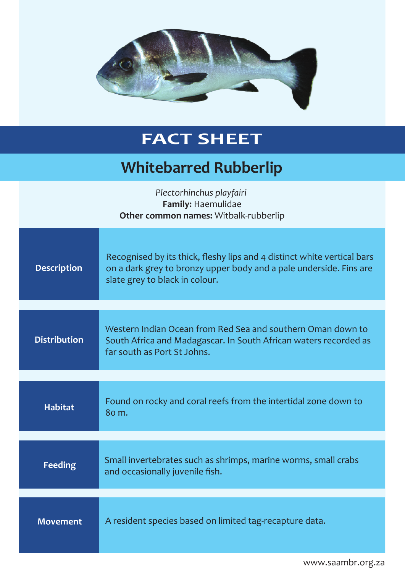

## **FACT SHEET**

## **Whitebarred Rubberlip**

| Plectorhinchus playfairi<br>Family: Haemulidae<br>Other common names: Witbalk-rubberlip |                                                                                                                                                                                 |
|-----------------------------------------------------------------------------------------|---------------------------------------------------------------------------------------------------------------------------------------------------------------------------------|
| <b>Description</b>                                                                      | Recognised by its thick, fleshy lips and 4 distinct white vertical bars<br>on a dark grey to bronzy upper body and a pale underside. Fins are<br>slate grey to black in colour. |
| <b>Distribution</b>                                                                     | Western Indian Ocean from Red Sea and southern Oman down to<br>South Africa and Madagascar. In South African waters recorded as<br>far south as Port St Johns.                  |
| <b>Habitat</b>                                                                          | Found on rocky and coral reefs from the intertidal zone down to<br>80 m.                                                                                                        |
| <b>Feeding</b>                                                                          | Small invertebrates such as shrimps, marine worms, small crabs<br>and occasionally juvenile fish.                                                                               |
| <b>Movement</b>                                                                         | A resident species based on limited tag-recapture data.                                                                                                                         |